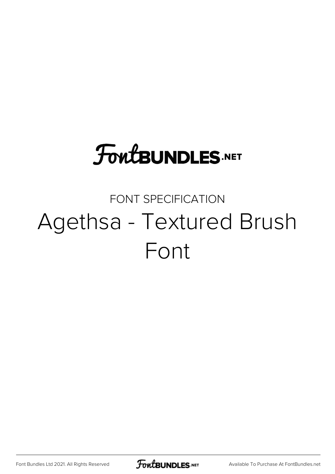# **FoutBUNDLES.NET**

## FONT SPECIFICATION Agethsa - Textured Brush Font

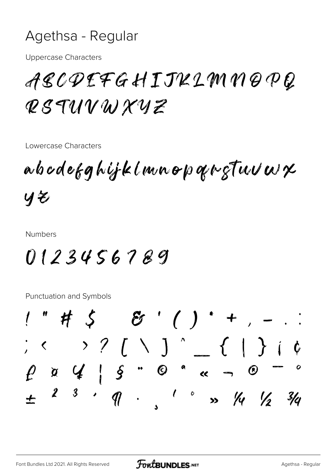#### Agethsa - Regular

**Uppercase Characters** 

## ABCDEFGHIJKLMNOPQ RSTUVWXYZ

Lowercase Characters

abodefghijklmnopgregtuvwx  $yz$ 

**Numbers** 

### 0123456789

**Punctuation and Symbols** 

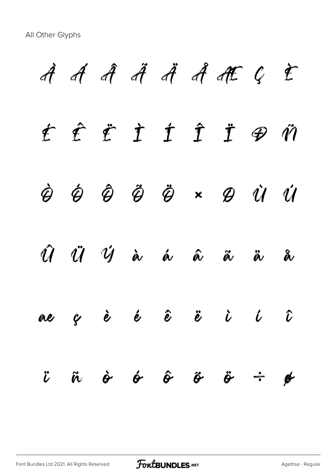All Other Glyphs

À Á Â Ã Ä Å Æ Ç È É Ê Ë Ì Í Î Ï Ð Ñ Ò Ó Ô Õ Ö × Ø Ù Ú Û Ü Ý à á â ã ä å æ ç è é ê ë ì í î  $\ddot{\nu}$   $\ddot{\alpha}$   $\dot{\alpha}$   $\dot{\alpha}$   $\dot{\alpha}$   $\ddot{\alpha}$   $\ddot{\alpha}$   $\ddot{\alpha}$   $\ddot{\alpha}$   $\ddot{\alpha}$   $\ddot{\alpha}$   $\ddot{\alpha}$   $\ddot{\alpha}$